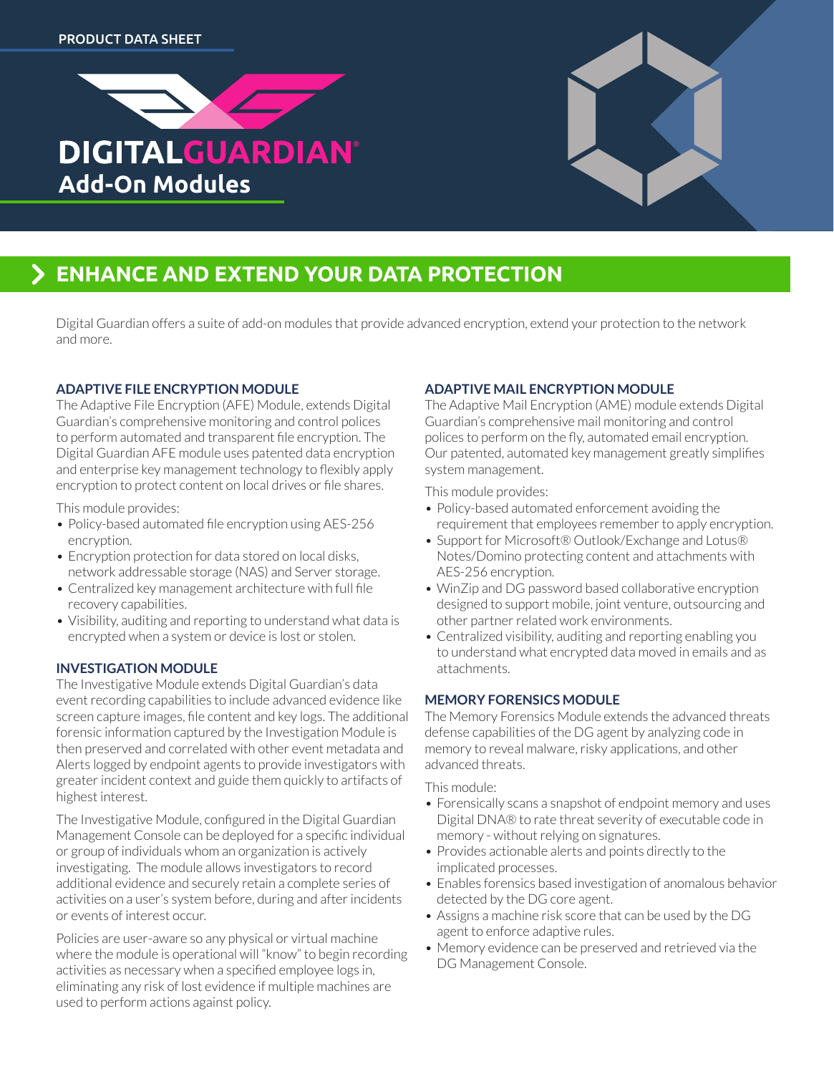



# **ENHANCE AND EXTEND YOUR DATA PROTECTION**

Digital Guardian offers a suite of add-on modules that provide advanced encryption, extend your protection to the network and more.

### **ADAPTIVE FILE ENCRYPTION MODULE**

The Adaptive File Encryption (AFE) Module, extends Digital Guardian's comprehensive monitoring and control polices to perform automated and transparent file encryption. The Digital Guardian AFE module uses patented data encryption and enterprise key management technology to flexibly apply encryption to protect content on local drives or file shares.

This module provides:

- Policy-based automated file encryption using AES-256 encryption.
- Encryption protection for data stored on local disks, network addressable storage (NAS) and Server storage.
- Centralized key management architecture with full file recovery capabilities.
- Visibility, auditing and reporting to understand what data is encrypted when a system or device is lost or stolen.

#### **INVESTIGATION MODULE**

The Investigative Module extends Digital Guardian's data event recording capabilities to include advanced evidence like screen capture images, file content and key logs. The additional forensic information captured by the Investigation Module is then preserved and correlated with other event metadata and Alerts logged by endpoint agents to provide investigators with greater incident context and guide them quickly to artifacts of highest interest.

The Investigative Module, configured in the Digital Guardian Management Console can be deployed for a specific individual or group of individuals whom an organization is actively investigating. The module allows investigators to record additional evidence and securely retain a complete series of activities on a user's system before, during and after incidents or events of interest occur.

Policies are user-aware so any physical or virtual machine where the module is operational will "know" to begin recording activities as necessary when a specified employee logs in, eliminating any risk of lost evidence if multiple machines are used to perform actions against policy.

## **ADAPTIVE MAIL ENCRYPTION MODULE**

The Adaptive Mail Encryption (AME) module extends Digital Guardian's comprehensive mail monitoring and control polices to perform on the fly, automated email encryption. Our patented, automated key management greatly simplifies system management.

This module provides:

- Policy-based automated enforcement avoiding the requirement that employees remember to apply encryption.
- Support for Microsoft® Outlook/Exchange and Lotus® Notes/Domino protecting content and attachments with AES-256 encryption.
- WinZip and DG password based collaborative encryption designed to support mobile, joint venture, outsourcing and other partner related work environments.
- Centralized visibility, auditing and reporting enabling you to understand what encrypted data moved in emails and as attachments.

#### **MEMORY FORENSICS MODULE**

The Memory Forensics Module extends the advanced threats defense capabilities of the DG agent by analyzing code in memory to reveal malware, risky applications, and other advanced threats.

This module:

- Forensically scans a snapshot of endpoint memory and uses Digital DNA® to rate threat severity of executable code in memory - without relying on signatures.
- Provides actionable alerts and points directly to the implicated processes.
- Enables forensics based investigation of anomalous behavior detected by the DG core agent.
- Assigns a machine risk score that can be used by the DG agent to enforce adaptive rules.
- Memory evidence can be preserved and retrieved via the DG Management Console.